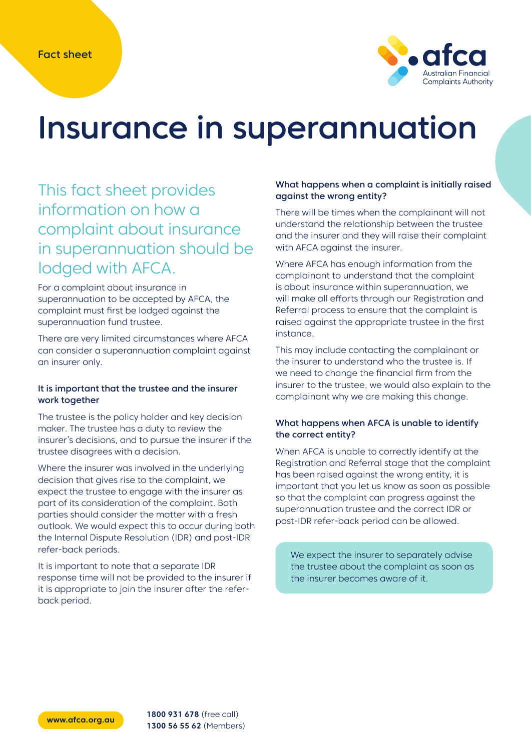

# Insurance in superannuation

## This fact sheet provides information on how a complaint about insurance in superannuation should be lodged with AFCA.

For a complaint about insurance in superannuation to be accepted by AFCA, the complaint must first be lodged against the superannuation fund trustee.

There are very limited circumstances where AFCA can consider a superannuation complaint against an insurer only.

#### It is important that the trustee and the insurer work together

The trustee is the policy holder and key decision maker. The trustee has a duty to review the insurer's decisions, and to pursue the insurer if the trustee disagrees with a decision.

Where the insurer was involved in the underlying decision that gives rise to the complaint, we expect the trustee to engage with the insurer as part of its consideration of the complaint. Both parties should consider the matter with a fresh outlook. We would expect this to occur during both the Internal Dispute Resolution (IDR) and post-IDR refer-back periods.

It is important to note that a separate IDR response time will not be provided to the insurer if it is appropriate to join the insurer after the referback period.

### What happens when a complaint is initially raised against the wrong entity?

There will be times when the complainant will not understand the relationship between the trustee and the insurer and they will raise their complaint with AFCA against the insurer.

Where AFCA has enough information from the complainant to understand that the complaint is about insurance within superannuation, we will make all efforts through our Registration and Referral process to ensure that the complaint is raised against the appropriate trustee in the first instance.

This may include contacting the complainant or the insurer to understand who the trustee is. If we need to change the financial firm from the insurer to the trustee, we would also explain to the complainant why we are making this change.

### What happens when AFCA is unable to identify the correct entity?

When AFCA is unable to correctly identify at the Registration and Referral stage that the complaint has been raised against the wrong entity, it is important that you let us know as soon as possible so that the complaint can progress against the superannuation trustee and the correct IDR or post-IDR refer-back period can be allowed.

We expect the insurer to separately advise the trustee about the complaint as soon as the insurer becomes aware of it.

**www.afca.org.au 1800 931 678** (free call) **1300 56 55 62** (Members)